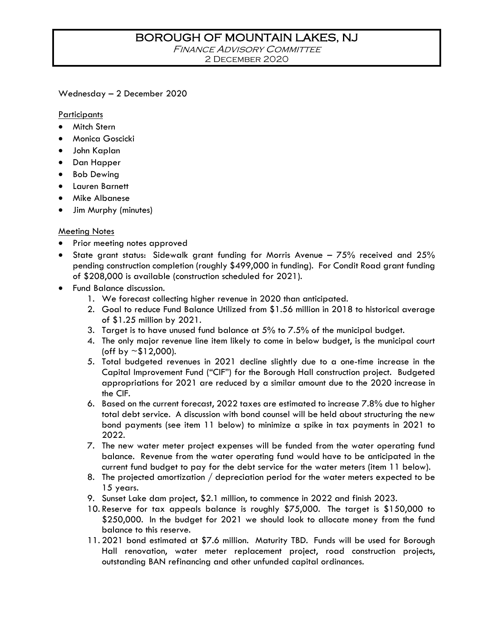## BOROUGH OF MOUNTAIN LAKES, NJ

**FINANCE ADVISORY COMMITTEE** 2 December 2020

Wednesday – 2 December 2020

**Participants** 

- Mitch Stern
- Monica Goscicki
- John Kaplan
- Dan Happer
- Bob Dewing
- Lauren Barnett
- Mike Albanese
- Jim Murphy (minutes)

## Meeting Notes

- Prior meeting notes approved
- State grant status: Sidewalk grant funding for Morris Avenue 75% received and 25% pending construction completion (roughly \$499,000 in funding). For Condit Road grant funding of \$208,000 is available (construction scheduled for 2021).
- Fund Balance discussion.
	- 1. We forecast collecting higher revenue in 2020 than anticipated.
	- 2. Goal to reduce Fund Balance Utilized from \$1.56 million in 2018 to historical average of \$1.25 million by 2021.
	- 3. Target is to have unused fund balance at 5% to 7.5% of the municipal budget.
	- 4. The only major revenue line item likely to come in below budget, is the municipal court (off by  $\sim$  \$12,000).
	- 5. Total budgeted revenues in 2021 decline slightly due to a one-time increase in the Capital Improvement Fund ("CIF") for the Borough Hall construction project. Budgeted appropriations for 2021 are reduced by a similar amount due to the 2020 increase in the CIF.
	- 6. Based on the current forecast, 2022 taxes are estimated to increase 7.8% due to higher total debt service. A discussion with bond counsel will be held about structuring the new bond payments (see item 11 below) to minimize a spike in tax payments in 2021 to 2022.
	- 7. The new water meter project expenses will be funded from the water operating fund balance. Revenue from the water operating fund would have to be anticipated in the current fund budget to pay for the debt service for the water meters (item 11 below).
	- 8. The projected amortization / depreciation period for the water meters expected to be 15 years.
	- 9. Sunset Lake dam project, \$2.1 million, to commence in 2022 and finish 2023.
	- 10. Reserve for tax appeals balance is roughly \$75,000. The target is \$150,000 to \$250,000. In the budget for 2021 we should look to allocate money from the fund balance to this reserve.
	- 11. 2021 bond estimated at \$7.6 million. Maturity TBD. Funds will be used for Borough Hall renovation, water meter replacement project, road construction projects, outstanding BAN refinancing and other unfunded capital ordinances.